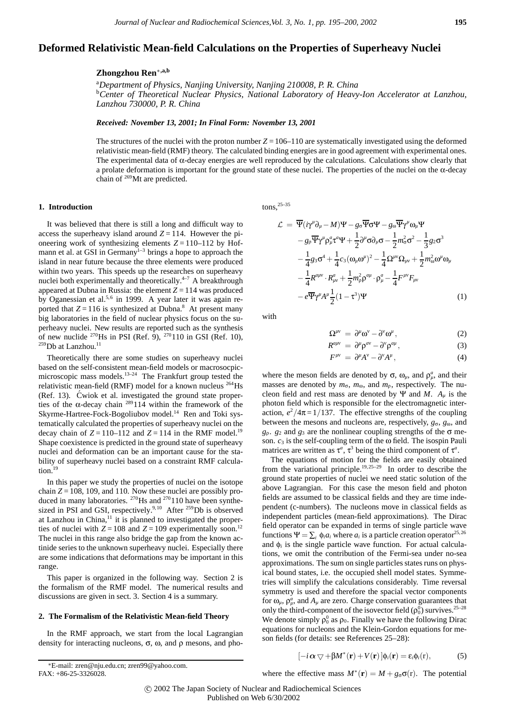# **Deformed Relativistic Mean-field Calculations on the Properties of Superheavy Nuclei**

# **Zhongzhou Ren**∗**,a,b**

a *Department of Physics, Nanjing University, Nanjing 210008, P. R. China* b *Center of Theoretical Nuclear Physics, National Laboratory of Heavy-Ion Accelerator at Lanzhou, Lanzhou 730000, P. R. China*

*Received: November 13, 2001; In Final Form: November 13, 2001*

The structures of the nuclei with the proton number  $Z = 106-110$  are systematically investigated using the deformed relativistic mean-field (RMF) theory. The calculated binding energies are in good agreement with experimental ones. The experimental data of  $\alpha$ -decay energies are well reproduced by the calculations. Calculations show clearly that a prolate deformation is important for the ground state of these nuclei. The properties of the nuclei on the α-decay chain of 269Mt are predicted.

### **1. Introduction**

It was believed that there is still a long and difficult way to access the superheavy island around  $Z = 114$ . However the pioneering work of synthesizing elements  $Z = 110-112$  by Hofmann et al. at GSI in Germany $1-3$  brings a hope to approach the island in near future because the three elements were produced within two years. This speeds up the researches on superheavy nuclei both experimentally and theoretically. $4-7$  A breakthrough appeared at Dubna in Russia: the element  $Z = 114$  was produced by Oganessian et al.<sup>5,6</sup> in 1999. A year later it was again reported that  $Z = 116$  is synthesized at Dubna.<sup>8</sup> At present many big laboratories in the field of nuclear physics focus on the superheavy nuclei. New results are reported such as the synthesis of new nuclide  $^{270}$ Hs in PSI (Ref. 9),  $^{270}$ 110 in GSI (Ref. 10),  $^{259}$ Db at Lanzhou.<sup>11</sup>

Theoretically there are some studies on superheavy nuclei based on the self-consistent mean-field models or macrosocpicmicroscopic mass models.<sup>13-24</sup> The Frankfurt group tested the relativistic mean-field (RMF) model for a known nucleus  $^{264}$ Hs (Ref. 13). Ćwiok et al. investigated the ground state properties of the  $\alpha$ -decay chain <sup>289</sup>114 within the framework of the Skyrme-Hartree-Fock-Bogoliubov model.14 Ren and Toki systematically calculated the properties of superheavy nuclei on the decay chain of  $Z = 110-112$  and  $Z = 114$  in the RMF model.<sup>19</sup> Shape coexistence is predicted in the ground state of superheavy nuclei and deformation can be an important cause for the stability of superheavy nuclei based on a constraint RMF calculation.<sup>19</sup>

In this paper we study the properties of nuclei on the isotope chain  $Z = 108$ , 109, and 110. Now these nuclei are possibly produced in many laboratories.  $^{270}$ Hs and  $^{270}$ 110 have been synthesized in PSI and GSI, respectively.<sup>9,10</sup> After <sup>259</sup>Db is observed at Lanzhou in China, $11$  it is planned to investigated the properties of nuclei with  $Z = 108$  and  $Z = 109$  experimentally soon.<sup>12</sup> The nuclei in this range also bridge the gap from the known actinide series to the unknown superheavy nuclei. Especially there are some indications that deformations may be important in this range.

This paper is organized in the following way. Section 2 is the formalism of the RMF model. The numerical results and discussions are given in sect. 3. Section 4 is a summary.

### **2. The Formalism of the Relativistic Mean-field Theory**

In the RMF approach, we start from the local Lagrangian density for interacting nucleons,  $\sigma$ ,  $\omega$ , and  $\rho$  mesons, and photons,25–35

$$
\mathcal{L} = \overline{\Psi} (i\gamma^{\mu} \partial_{\mu} - M) \Psi - g_{\sigma} \overline{\Psi} \sigma \Psi - g_{\omega} \overline{\Psi} \gamma^{\mu} \omega_{\mu} \Psi \n- g_{\rho} \overline{\Psi} \gamma^{\mu} \rho_{\mu}^{\alpha} \tau^{\alpha} \Psi + \frac{1}{2} \partial^{\mu} \sigma \partial_{\mu} \sigma - \frac{1}{2} m_{\sigma}^{2} \sigma^{2} - \frac{1}{3} g_{2} \sigma^{3} \n- \frac{1}{4} g_{3} \sigma^{4} + \frac{1}{4} c_{3} (\omega_{\mu} \omega^{\mu})^{2} - \frac{1}{4} \Omega^{\mu \nu} \Omega_{\mu \nu} + \frac{1}{2} m_{\omega}^{2} \omega^{\mu} \omega_{\mu} \n- \frac{1}{4} R^{\alpha \mu \nu} \cdot R_{\mu \nu}^{\alpha} + \frac{1}{2} m_{\rho}^{2} \rho^{\alpha \mu} \cdot \rho_{\mu}^{\alpha} - \frac{1}{4} F^{\mu \nu} F_{\mu \nu} \n- e \overline{\Psi} \gamma^{\mu} A^{\mu} \frac{1}{2} (1 - \tau^{3}) \Psi
$$
\n(1)

with

$$
\Omega^{\mu\nu} = \partial^{\mu}\omega^{\nu} - \partial^{\nu}\omega^{\mu}, \qquad (2)
$$

$$
R^{a\mu\nu} = \partial^{\mu}\rho^{a\nu} - \partial^{\nu}\rho^{a\mu}, \qquad (3)
$$

$$
F^{\mu\nu} = \partial^{\mu}A^{\nu} - \partial^{\nu}A^{\mu}, \qquad (4)
$$

where the meson fields are denoted by  $\sigma$ ,  $\omega_{\mu}$ , and  $\rho_{\mu}^{a}$ , and their masses are denoted by  $m_{\sigma}$ ,  $m_{\omega}$ , and  $m_{\rho}$ , respectively. The nucleon field and rest mass are denoted by  $\Psi$  and *M*.  $A_\mu$  is the photon field which is responsible for the electromagnetic interaction,  $e^2/4\pi = 1/137$ . The effective strengths of the coupling between the mesons and nucleons are, respectively, *g*σ, *g*ω, and  $g_p$ .  $g_2$  and  $g_3$  are the nonlinear coupling strengths of the  $\sigma$  meson.  $c_3$  is the self-coupling term of the  $\omega$  field. The isospin Pauli matrices are written as  $\tau^a$ ,  $\tau^3$  being the third component of  $\tau^a$ .

The equations of motion for the fields are easily obtained from the variational principle.<sup>19,25–29</sup> In order to describe the ground state properties of nuclei we need static solution of the above Lagrangian. For this case the meson field and photon fields are assumed to be classical fields and they are time independent (c-numbers). The nucleons move in classical fields as independent particles (mean-field approximations). The Dirac field operator can be expanded in terms of single particle wave functions  $\Psi = \sum_i \phi_i a_i$  where  $a_i$  is a particle creation operator<sup>25,26</sup> and  $\phi_i$  is the single particle wave function. For actual calculations, we omit the contribution of the Fermi-sea under no-sea approximations. The sum on single particles states runs on physical bound states, i.e. the occupied shell model states. Symmetries will simplify the calculations considerably. Time reversal symmetry is used and therefore the spacial vector components for  $\omega_{\mu}$ ,  $\rho_{\mu}^{a}$ , and  $A_{\mu}$  are zero. Charge conservation guarantees that only the third-component of the isovector field  $(\rho_0^0)$  survives.<sup>25–28</sup> We denote simply  $\rho_0^0$  as  $\rho_0$ . Finally we have the following Dirac equations for nucleons and the Klein-Gordon equations for meson fields (for details: see References 25–28):

$$
[-i\,\boldsymbol{\alpha}\,\nabla+\beta M^*(\mathbf{r})+V(\mathbf{r})\,]\phi_i(\mathbf{r})=\varepsilon_i\phi_i(\mathbf{r}),\qquad\qquad(5)
$$

∗E-mail: zren@nju.edu.cn; zren99@yahoo.com.  $FAX: +86-25-3326028$ .

where the effective mass  $M^*(\mathbf{r}) = M + g_{\sigma}\sigma(\mathbf{r})$ . The potential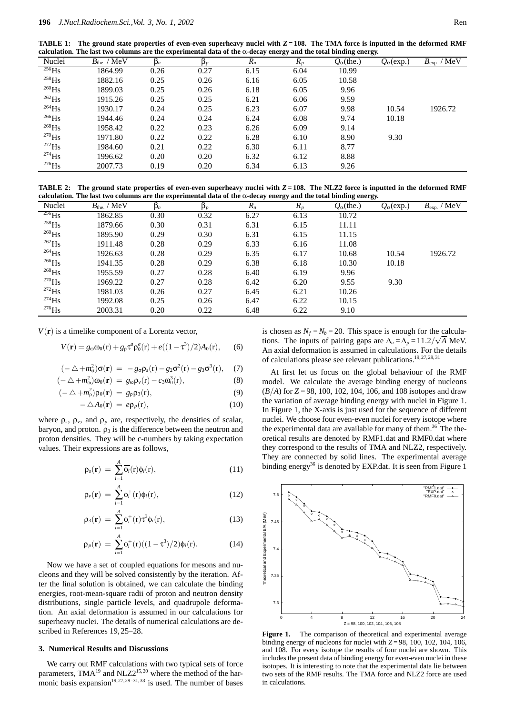**TABLE 1:** The ground state properties of even-even superheavy nuclei with  $Z = 108$ . The TMA force is inputted in the deformed RMF **calculation. The last two columns are the experimental data of the** α**-decay energy and the total binding energy.**

| Nuclei            | $B_{\text{the}}$ . / MeV | $\beta_n$ | $\mathbf{p}_p$ | $R_n$ | $R_p$ | $Q_{\alpha}$ (the.) | $Q_{\alpha}$ (exp.) | $B_{\text{exp.}}$ / $\overline{\text{MeV}}$ |
|-------------------|--------------------------|-----------|----------------|-------|-------|---------------------|---------------------|---------------------------------------------|
| $^{256}$ Hs       | 1864.99                  | 0.26      | 0.27           | 6.15  | 6.04  | 10.99               |                     |                                             |
| $^{258}$ Hs       | 1882.16                  | 0.25      | 0.26           | 6.16  | 6.05  | 10.58               |                     |                                             |
| $^{260}\text{Hs}$ | 1899.03                  | 0.25      | 0.26           | 6.18  | 6.05  | 9.96                |                     |                                             |
| $^{262}$ Hs       | 1915.26                  | 0.25      | 0.25           | 6.21  | 6.06  | 9.59                |                     |                                             |
| $^{264}$ Hs       | 1930.17                  | 0.24      | 0.25           | 6.23  | 6.07  | 9.98                | 10.54               | 1926.72                                     |
| $^{266}$ Hs       | 1944.46                  | 0.24      | 0.24           | 6.24  | 6.08  | 9.74                | 10.18               |                                             |
| $^{268}$ Hs       | 1958.42                  | 0.22      | 0.23           | 6.26  | 6.09  | 9.14                |                     |                                             |
| $^{270}$ Hs       | 1971.80                  | 0.22      | 0.22           | 6.28  | 6.10  | 8.90                | 9.30                |                                             |
| $^{272}$ Hs       | 1984.60                  | 0.21      | 0.22           | 6.30  | 6.11  | 8.77                |                     |                                             |
| $^{274}$ Hs       | 1996.62                  | 0.20      | 0.20           | 6.32  | 6.12  | 8.88                |                     |                                             |
| $^{276}$ Hs       | 2007.73                  | 0.19      | 0.20           | 6.34  | 6.13  | 9.26                |                     |                                             |
|                   |                          |           |                |       |       |                     |                     |                                             |

**TABLE 2:** The ground state properties of even-even superheavy nuclei with  $Z = 108$ . The NLZ2 force is inputted in the deformed RMF **calculation. The last two columns are the experimental data of the** α**-decay energy and the total binding energy.**

|                     |                                 |           |                |       | $\tilde{}$ | $\tilde{}$          | $\tilde{}$          |                                             |
|---------------------|---------------------------------|-----------|----------------|-------|------------|---------------------|---------------------|---------------------------------------------|
| Nuclei              | $B_{\text{the}}$ / $\text{MeV}$ | $\beta_n$ | $\mathbf{p}_p$ | $R_n$ | $R_p$      | $Q_{\alpha}$ (the.) | $Q_{\alpha}$ (exp.) | $B_{\text{exp.}}$ / $\overline{\text{MeV}}$ |
| $^{256}$ Hs         | 1862.85                         | 0.30      | 0.32           | 6.27  | 6.13       | 10.72               |                     |                                             |
| $^{258}$ Hs         | 1879.66                         | 0.30      | 0.31           | 6.31  | 6.15       | 11.11               |                     |                                             |
| $^{260}\text{Hs}$   | 1895.90                         | 0.29      | 0.30           | 6.31  | 6.15       | 11.15               |                     |                                             |
| $^{262}$ Hs         | 1911.48                         | 0.28      | 0.29           | 6.33  | 6.16       | 11.08               |                     |                                             |
| $^{264}$ Hs         | 1926.63                         | 0.28      | 0.29           | 6.35  | 6.17       | 10.68               | 10.54               | 1926.72                                     |
| $^{266}$ Hs         | 1941.35                         | 0.28      | 0.29           | 6.38  | 6.18       | 10.30               | 10.18               |                                             |
| $^{268}\mathrm{Hs}$ | 1955.59                         | 0.27      | 0.28           | 6.40  | 6.19       | 9.96                |                     |                                             |
| $^{270}\mathrm{Hs}$ | 1969.22                         | 0.27      | 0.28           | 6.42  | 6.20       | 9.55                | 9.30                |                                             |
| $^{272}$ Hs         | 1981.03                         | 0.26      | 0.27           | 6.45  | 6.21       | 10.26               |                     |                                             |
| $^{274}$ Hs         | 1992.08                         | 0.25      | 0.26           | 6.47  | 6.22       | 10.15               |                     |                                             |
| $^{276}\mathrm{Hs}$ | 2003.31                         | 0.20      | 0.22           | 6.48  | 6.22       | 9.10                |                     |                                             |

 $V(\mathbf{r})$  is a timelike component of a Lorentz vector,

$$
V(\mathbf{r}) = g_{\omega}\omega_0(\mathbf{r}) + g_{\rho}\tau^a \rho_0^a(\mathbf{r}) + e((1-\tau^3)/2)A_0(\mathbf{r}), \qquad (6)
$$

$$
(-\triangle + m_{\sigma}^2)\sigma(\mathbf{r}) = -g_{\sigma}\rho_s(\mathbf{r}) - g_2\sigma^2(\mathbf{r}) - g_3\sigma^3(\mathbf{r}), \quad (7)
$$

$$
(-\triangle + m_{\omega}^2)\omega_0(\mathbf{r}) = g_{\omega}\rho_v(\mathbf{r}) - c_3\omega_0^3(\mathbf{r}), \qquad (8)
$$

$$
(-\triangle + m_\rho^2)\rho_0(\mathbf{r}) = g_\rho \rho_3(\mathbf{r}), \qquad (9)
$$

$$
-\triangle A_0(\mathbf{r}) = e\rho_p(\mathbf{r}),\tag{10}
$$

where  $\rho_s$ ,  $\rho_v$ , and  $\rho_p$  are, respectively, the densities of scalar, baryon, and proton.  $\rho_3$  is the difference between the neutron and proton densities. They will be c-numbers by taking expectation values. Their expressions are as follows,

$$
\rho_s(\mathbf{r}) = \sum_{i=1}^A \overline{\phi_i}(\mathbf{r}) \phi_i(\mathbf{r}), \qquad (11)
$$

$$
\rho_{\nu}(\mathbf{r}) = \sum_{i=1}^{A} \phi_i^+(\mathbf{r}) \phi_i(\mathbf{r}), \qquad (12)
$$

$$
\rho_3(\mathbf{r}) = \sum_{i=1}^A \phi_i^+(\mathbf{r}) \tau^3 \phi_i(\mathbf{r}), \qquad (13)
$$

$$
\rho_p(\mathbf{r}) = \sum_{i=1}^{A} \phi_i^+(\mathbf{r}) ((1-\tau^3)/2) \phi_i(\mathbf{r}). \tag{14}
$$

Now we have a set of coupled equations for mesons and nucleons and they will be solved consistently by the iteration. After the final solution is obtained, we can calculate the binding energies, root-mean-square radii of proton and neutron density distributions, single particle levels, and quadrupole deformation. An axial deformation is assumed in our calculations for superheavy nuclei. The details of numerical calculations are described in References 19,25–28.

#### **3. Numerical Results and Discussions**

We carry out RMF calculations with two typical sets of force parameters,  $TMA^{19}$  and  $NLZ2^{15,20}$  where the method of the harmonic basis expansion<sup>19,27,29–31,33</sup> is used. The number of bases

is chosen as  $N_f = N_b = 20$ . This space is enough for the calculations. The inputs of pairing gaps are  $\Delta_n = \Delta_p = 11.2/\sqrt{A}$  MeV. An axial deformation is assumed in calculations. For the details of calculations please see relevant publications.<sup>19,27,29,31</sup>

At first let us focus on the global behaviour of the RMF model. We calculate the average binding energy of nucleons (*B/A*) for *Z* = 98, 100, 102, 104, 106, and 108 isotopes and draw the variation of average binding energy with nuclei in Figure 1. In Figure 1, the X-axis is just used for the sequence of different nuclei. We choose four even-even nuclei for every isotope where the experimental data are available for many of them.<sup>36</sup> The theoretical results are denoted by RMF1.dat and RMF0.dat where they correspond to the results of TMA and NLZ2, respectively. They are connected by solid lines. The experimental average binding energy<sup>36</sup> is denoted by EXP.dat. It is seen from Figure 1



**Figure 1.** The comparison of theoretical and experimental average binding energy of nucleons for nuclei with  $Z=98$ , 100, 102, 104, 106, and 108. For every isotope the results of four nuclei are shown. This includes the present data of binding energy for even-even nuclei in these isotopes. It is interesting to note that the experimental data lie between two sets of the RMF results. The TMA force and NLZ2 force are used in calculations.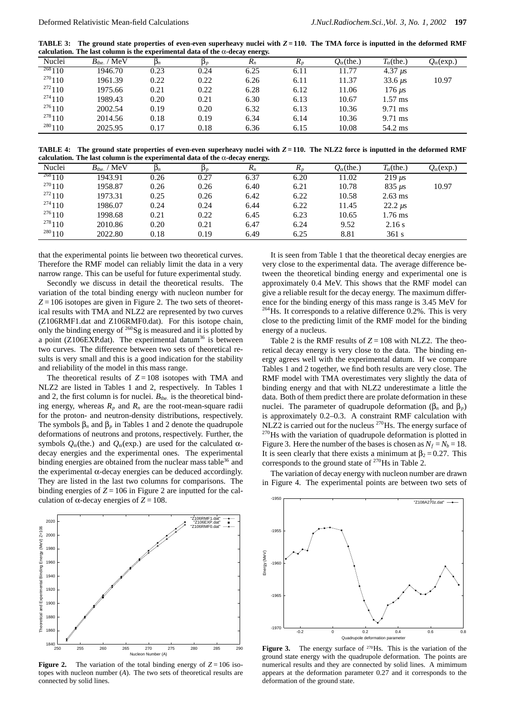**TABLE 3:** The ground state properties of even-even superheavy nuclei with  $Z = 110$ . The TMA force is inputted in the deformed RMF **calculation. The last column is the experimental data of the** α**-decay energy.**

| Nuclei      | $B_{\text{the}}$ . / MeV | $\mathsf{p}_n$ |      | $R_n$ | $R_{p}$ | $Q_{\alpha}$ (the.) | $T_{\alpha}$ (the.) | $Q_\alpha(\exp.)$ |
|-------------|--------------------------|----------------|------|-------|---------|---------------------|---------------------|-------------------|
| $^{268}110$ | 1946.70                  | 0.23           | 0.24 | 6.25  | 6.11    | 11.77               | $4.37 \,\mu s$      |                   |
| 270110      | 1961.39                  | 0.22           | 0.22 | 6.26  | 6.11    | 11.37               | $33.6 \mu s$        | 10.97             |
| 272110      | 1975.66                  | 0.21           | 0.22 | 6.28  | 6.12    | 11.06               | $176 \mu s$         |                   |
| 274110      | 1989.43                  | 0.20           | 0.21 | 6.30  | 6.13    | 10.67               | $1.57$ ms           |                   |
| 276110      | 2002.54                  | 0.19           | 0.20 | 6.32  | 6.13    | 10.36               | $9.71$ ms           |                   |
| 278110      | 2014.56                  | 0.18           | 0.19 | 6.34  | 6.14    | 10.36               | $9.71$ ms           |                   |
| 280110      | 2025.95                  | 0.17           | 0.18 | 6.36  | 6.15    | 10.08               | 54.2 ms             |                   |

**TABLE 4: The ground state properties of even-even superheavy nuclei with** *Z* **= 110. The NLZ2 force is inputted in the deformed RMF calculation. The last column is the experimental data of the** α**-decay energy.**

|             |                          |                |                | --    |         |                     |                           |                     |
|-------------|--------------------------|----------------|----------------|-------|---------|---------------------|---------------------------|---------------------|
| Nuclei      | $B_{\text{the}}$ . / MeV | $\mathsf{p}_n$ | $\mathbf{p}_p$ | $R_n$ | $R_{p}$ | $Q_{\alpha}$ (the.) | $T_\alpha$ (the.)         | $Q_{\alpha}$ (exp.) |
| $^{268}110$ | 1943.91                  | 0.26           | 0.27           | 6.37  | 6.20    | 11.02               | $219 \text{ }\mu\text{s}$ |                     |
| 270110      | 1958.87                  | 0.26           | 0.26           | 6.40  | 6.21    | 10.78               | $835 \text{ }\mu\text{s}$ | 10.97               |
| 272110      | 1973.31                  | 0.25           | 0.26           | 6.42  | 6.22    | 10.58               | $2.63$ ms                 |                     |
| 274110      | 1986.07                  | 0.24           | 0.24           | 6.44  | 6.22    | 11.45               | $22.2 \mu s$              |                     |
| 276110      | 1998.68                  | 0.21           | 0.22           | 6.45  | 6.23    | 10.65               | 1.76 ms                   |                     |
| 278110      | 2010.86                  | 0.20           | 0.21           | 6.47  | 6.24    | 9.52                | 2.16 s                    |                     |
| 280110      | 2022.80                  | 0.18           | 0.19           | 6.49  | 6.25    | 8.81                | 361 s                     |                     |
|             |                          |                |                |       |         |                     |                           |                     |

that the experimental points lie between two theoretical curves. Therefore the RMF model can reliably limit the data in a very narrow range. This can be useful for future experimental study.

Secondly we discuss in detail the theoretical results. The variation of the total binding energy with nucleon number for  $Z = 106$  isotopes are given in Figure 2. The two sets of theoretical results with TMA and NLZ2 are represented by two curves (Z106RMF1.dat and Z106RMF0.dat). For this isotope chain, only the binding energy of  $^{260}$ Sg is measured and it is plotted by a point ( $Z106$ EXP.dat). The experimental datum<sup>36</sup> is between two curves. The difference between two sets of theoretical results is very small and this is a good indication for the stability and reliability of the model in this mass range.

The theoretical results of  $Z = 108$  isotopes with TMA and NLZ2 are listed in Tables 1 and 2, respectively. In Tables 1 and 2, the first column is for nuclei.  $B_{the}$  is the theoretical binding energy, whereas  $R_p$  and  $R_n$  are the root-mean-square radii for the proton- and neutron-density distributions, respectively. The symbols  $β<sub>n</sub>$  and  $β<sub>p</sub>$  in Tables 1 and 2 denote the quadrupole deformations of neutrons and protons, respectively. Further, the symbols  $Q_α$ (the.) and  $Q_α$ (exp.) are used for the calculated αdecay energies and the experimental ones. The experimental binding energies are obtained from the nuclear mass table<sup>36</sup> and the experimental  $\alpha$ -decay energies can be deduced accordingly. They are listed in the last two columns for comparisons. The binding energies of  $Z = 106$  in Figure 2 are inputted for the calculation of  $\alpha$ -decay energies of  $Z = 108$ .



**Figure 2.** The variation of the total binding energy of  $Z = 106$  isotopes with nucleon number (*A*). The two sets of theoretical results are connected by solid lines.

It is seen from Table 1 that the theoretical decay energies are very close to the experimental data. The average difference between the theoretical binding energy and experimental one is approximately 0.4 MeV. This shows that the RMF model can give a reliable result for the decay energy. The maximum difference for the binding energy of this mass range is 3.45 MeV for  $^{264}$ Hs. It corresponds to a relative difference 0.2%. This is very close to the predicting limit of the RMF model for the binding energy of a nucleus.

Table 2 is the RMF results of  $Z = 108$  with NLZ2. The theoretical decay energy is very close to the data. The binding energy agrees well with the experimental datum. If we compare Tables 1 and 2 together, we find both results are very close. The RMF model with TMA overestimates very slightly the data of binding energy and that with NLZ2 underestimate a little the data. Both of them predict there are prolate deformation in these nuclei. The parameter of quadrupole deformation ( $\beta_n$  and  $\beta_p$ ) is approximately 0.2–0.3. A constraint RMF calculation with NL $\overline{22}$  is carried out for the nucleus <sup>270</sup>Hs. The energy surface of <sup>270</sup>Hs with the variation of quadrupole deformation is plotted in Figure 3. Here the number of the bases is chosen as  $N_f = N_b = 18$ . It is seen clearly that there exists a minimum at  $\beta_2 = 0.27$ . This corresponds to the ground state of  $270$ Hs in Table 2.

The variation of decay energy with nucleon number are drawn in Figure 4. The experimental points are between two sets of



Figure 3. The energy surface of <sup>270</sup>Hs. This is the variation of the ground state energy with the quadrupole deformation. The points are numerical results and they are connected by solid lines. A mimimum appears at the deformation parameter 0.27 and it corresponds to the deformation of the ground state.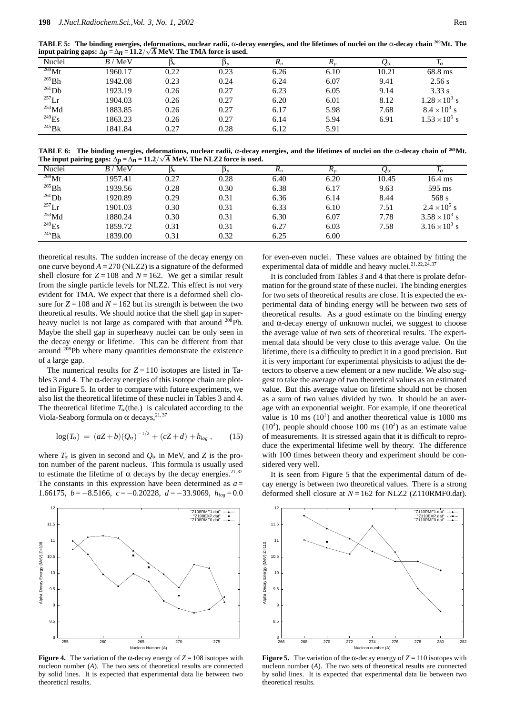**TABLE 5: The binding energies, deformations, nuclear radii,** α**-decay energies, and the lifetimes of nuclei on the** α**-decay chain 269Mt. The input pairing gaps:**  $\Delta p = \Delta n = 11.2/\sqrt{A}$  MeV. The TMA force is used.

| Nuclei              | B/MeV   |      |      | $R_n$ | 1 \n | $\mathcal{Q}_{\alpha}$ | $I_{\alpha}$           |
|---------------------|---------|------|------|-------|------|------------------------|------------------------|
| $^{269}$ Mt         | 1960.17 | 0.22 | 0.23 | 6.26  | 6.10 | 10.21                  | 68.8 ms                |
| $265$ Bh            | 1942.08 | 0.23 | 0.24 | 6.24  | 6.07 | 9.41                   | 2.56 s                 |
| $^{261}Db$          | 1923.19 | 0.26 | 0.27 | 6.23  | 6.05 | 9.14                   | 3.33 s                 |
| $^{257}$ Lr         | 1904.03 | 0.26 | 0.27 | 6.20  | 6.01 | 8.12                   | $1.28 \times 10^3$ s   |
| $253$ Md            | 1883.85 | 0.26 | 0.27 | 6.17  | 5.98 | 7.68                   | $8.4 \times 10^3$ s    |
| $^{249}$ Es         | 1863.23 | 0.26 | 0.27 | 6.14  | 5.94 | 6.91                   | $1.53 \times 10^{6}$ s |
| $^{245}\mathrm{Bk}$ | 1841.84 | 0.27 | 0.28 | 6.12  | 5.91 |                        |                        |

**TABLE 6: The binding energies, deformations, nuclear radii,** α**-decay energies, and the lifetimes of nuclei on the** α**-decay chain of 269Mt. The input pairing gaps:**  $\Delta p = \Delta n = 11.2/\sqrt{A}$  MeV. The NLZ2 force is used.

| Nuclei              | ' MeV<br>B/ | $\mathsf{\nu}_n$ | $\mathbf{p}_p$ | $R_n$ | $\mathbf{u}_n$ | $\mathcal{Q}_{\alpha}$ | $1\alpha$            |
|---------------------|-------------|------------------|----------------|-------|----------------|------------------------|----------------------|
| $^{269}$ Mt         | 1957.41     | 0.27             | 0.28           | 6.40  | 6.20           | 10.45                  | $16.4 \text{ ms}$    |
| $^{265}\mbox{Bh}$   | 1939.56     | 0.28             | 0.30           | 6.38  | 6.17           | 9.63                   | 595 ms               |
| $^{261}Db$          | 1920.89     | 0.29             | 0.31           | 6.36  | 6.14           | 8.44                   | 568 s                |
| $^{257}$ Lr         | 1901.03     | 0.30             | 0.31           | 6.33  | 6.10           | 7.51                   | $2.4 \times 10^5$ s  |
| $^{253}$ Md         | 1880.24     | 0.30             | 0.31           | 6.30  | 6.07           | 7.78                   | $3.58 \times 10^3$ s |
| $^{249}Es$          | 1859.72     | 0.31             | 0.31           | 6.27  | 6.03           | 7.58                   | $3.16 \times 10^3$ s |
| $^{245}\mathrm{Bk}$ | 1839.00     | 0.31             | 0.32           | 6.25  | 6.00           |                        |                      |

theoretical results. The sudden increase of the decay energy on one curve beyond  $A = 270$  (NLZ2) is a signature of the deformed shell closure for  $Z = 108$  and  $N = 162$ . We get a similar result from the single particle levels for NLZ2. This effect is not very evident for TMA. We expect that there is a deformed shell closure for  $Z = 108$  and  $N = 162$  but its strength is between the two theoretical results. We should notice that the shell gap in superheavy nuclei is not large as compared with that around <sup>208</sup>Pb. Maybe the shell gap in superheavy nuclei can be only seen in the decay energy or lifetime. This can be different from that around 208Pb where many quantities demonstrate the existence of a large gap.

The numerical results for  $Z = 110$  isotopes are listed in Tables 3 and 4. The  $\alpha$ -decay energies of this isotope chain are plotted in Figure 5. In order to compare with future experiments, we also list the theoretical lifetime of these nuclei in Tables 3 and 4. The theoretical lifetime  $T_\alpha$ (the.) is calculated according to the Viola-Seaborg formula on  $\alpha$  decays,<sup>21,37</sup>

$$
\log(T_{\alpha}) = (aZ+b)(Q_{\alpha})^{-1/2} + (cZ+d) + h_{log} , \qquad (15)
$$

where  $T_\alpha$  is given in second and  $Q_\alpha$  in MeV, and Z is the proton number of the parent nucleus. This formula is usually used to estimate the lifetime of  $\alpha$  decays by the decay energies.<sup>21,37</sup> The constants in this expression have been determined as  $a =$ 1.66175, *b* = −8.5166, *c* = −0.20228, *d* = −33.9069, *hlog* = 0.0



**Figure 4.** The variation of the α-decay energy of  $Z = 108$  isotopes with nucleon number (*A*). The two sets of theoretical results are connected by solid lines. It is expected that experimental data lie between two theoretical results.

for even-even nuclei. These values are obtained by fitting the experimental data of middle and heavy nuclei.<sup>21,22,24,37</sup>

It is concluded from Tables 3 and 4 that there is prolate deformation for the ground state of these nuclei. The binding energies for two sets of theoretical results are close. It is expected the experimental data of binding energy will be between two sets of theoretical results. As a good estimate on the binding energy and  $\alpha$ -decay energy of unknown nuclei, we suggest to choose the average value of two sets of theoretical results. The experimental data should be very close to this average value. On the lifetime, there is a difficulty to predict it in a good precision. But it is very important for experimental physicists to adjust the detectors to observe a new element or a new nuclide. We also suggest to take the average of two theoretical values as an estimated value. But this average value on lifetime should not be chosen as a sum of two values divided by two. It should be an average with an exponential weight. For example, if one theoretical value is 10 ms  $(10<sup>1</sup>)$  and another theoretical value is 1000 ms  $(10<sup>3</sup>)$ , people should choose 100 ms  $(10<sup>2</sup>)$  as an estimate value of measurements. It is stressed again that it is difficult to reproduce the experimental lifetime well by theory. The difference with 100 times between theory and experiment should be considered very well.

It is seen from Figure 5 that the experimental datum of decay energy is between two theoretical values. There is a strong deformed shell closure at *N* = 162 for NLZ2 (Z110RMF0.dat).



**Figure 5.** The variation of the  $\alpha$ -decay energy of  $Z = 110$  isotopes with nucleon number (*A*). The two sets of theoretical results are connected by solid lines. It is expected that experimental data lie between two theoretical results.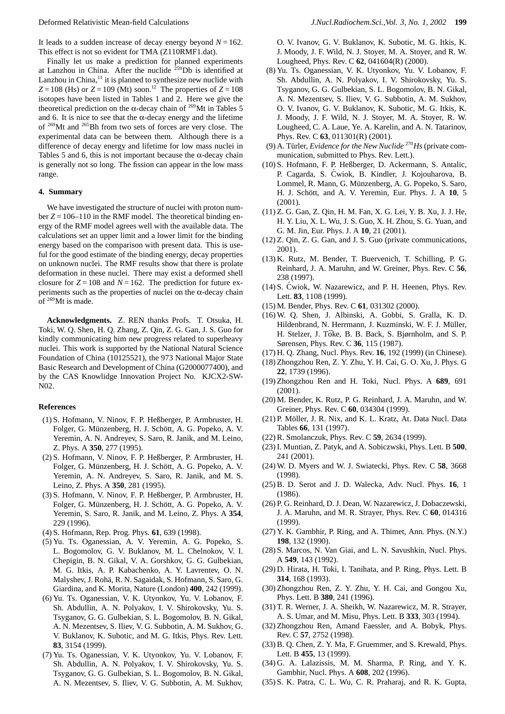It leads to a sudden increase of decay energy beyond  $N = 162$ . This effect is not so evident for TMA (Z110RMF1.dat).

Finally let us make a prediction for planned experiments at Lanzhou in China. After the nuclide <sup>259</sup>Db is identified at Lanzhou in China,<sup>11</sup> it is planned to synthesize new nuclide with  $Z = 108$  (Hs) or  $Z = 109$  (Mt) soon.<sup>12</sup> The properties of  $Z = 108$ isotopes have been listed in Tables 1 and 2. Here we give the theoretical prediction on the  $\alpha$ -decay chain of <sup>269</sup>Mt in Tables 5 and 6. It is nice to see that the  $\alpha$ -decay energy and the lifetime of 269Mt and 265Bh from two sets of forces are very close. The experimental data can be between them. Although there is a difference of decay energy and lifetime for low mass nuclei in Tables 5 and 6, this is not important because the  $\alpha$ -decay chain is generally not so long. The fission can appear in the low mass range.

#### **4. Summary**

We have investigated the structure of nuclei with proton number  $Z = 106-110$  in the RMF model. The theoretical binding energy of the RMF model agrees well with the available data. The calculations set an upper limit and a lower limit for the binding energy based on the comparison with present data. This is useful for the good estimate of the binding energy, decay properties on unknown nuclei. The RMF results show that there is prolate deformation in these nuclei. There may exist a deformed shell closure for  $Z = 108$  and  $N = 162$ . The prediction for future experiments such as the properties of nuclei on the α-decay chain of 269Mt is made.

**Acknowledgments.** Z. REN thanks Profs. T. Otsuka, H. Toki, W. Q. Shen, H. Q. Zhang, Z. Qin, Z. G. Gan, J. S. Guo for kindly communicating him new progress related to superheavy nuclei. This work is supported by the National Natural Science Foundation of China (10125521), the 973 National Major State Basic Research and Development of China (G2000077400), and by the CAS Knowlidge Innovation Project No. KJCX2-SW-N02.

## **References**

- (1) S. Hofmann, V. Ninov, F. P. Heßberger, P. Armbruster, H. Folger, G. Münzenberg, H. J. Schött, A. G. Popeko, A. V. Yeremin, A. N. Andreyev, S. Saro, R. Janik, and M. Leino, Z. Phys. A **350**, 277 (1995).
- (2) S. Hofmann, V. Ninov, F. P. Heßberger, P. Armbruster, H. Folger, G. Münzenberg, H. J. Schött, A. G. Popeko, A. V. Yeremin, A. N. Andreyev, S. Saro, R. Janik, and M. S. Leino, Z. Phys. A **350**, 281 (1995).
- (3) S. Hofmann, V. Ninov, F. P. Heßberger, P. Armbruster, H. Folger, G. Münzenberg, H. J. Schött, A. G. Popeko, A. V. Yeremin, S. Saro, R. Janik, and M. Leino, Z. Phys. A **354**, 229 (1996).
- (4) S. Hofmann, Rep. Prog. Phys. **61**, 639 (1998).
- (5) Yu. Ts. Oganessian, A. V. Yeremin, A. G. Popeko, S. L. Bogomolov, G. V. Buklanov, M. L. Chelnokov, V. I. Chepigin, B. N. Gikal, V. A. Gorshkov, G. G. Gulbekian, M. G. Itkis, A. P. Kabachenko, A. Y. Lavrentev, O. N. Malyshev, J. Rohä, R. N. Sagaidak, S. Hofmann, S. Saro, G. Giardina, and K. Morita, Nature (London) **400**, 242 (1999).
- (6) Yu. Ts. Oganessian, V. K. Utyonkov, Yu. V. Lobanov, F. Sh. Abdullin, A. N. Polyakov, I. V. Shirokovsky, Yu. S. Tsyganov, G. G. Gulbekian, S. L. Bogomolov, B. N. Gikal, A. N. Mezentsev, S. Iliev, V. G. Subbotin, A. M. Sukhov, G. V. Buklanov, K. Subotic, and M. G. Itkis, Phys. Rev. Lett. **83**, 3154 (1999).
- (7) Yu. Ts. Oganessian, V. K. Utyonkov, Yu. V. Lobanov, F. Sh. Abdullin, A. N. Polyakov, I. V. Shirokovsky, Yu. S. Tsyganov, G. G. Gulbekian, S. L. Bogomolov, B. N. Gikal, A. N. Mezentsev, S. Iliev, V. G. Subbotin, A. M. Sukhov,

O. V. Ivanov, G. V. Buklanov, K. Subotic, M. G. Itkis, K. J. Moody, J. F. Wild, N. J. Stoyer, M. A. Stoyer, and R. W. Lougheed, Phys. Rev. C **62**, 041604(R) (2000).

- (8) Yu. Ts. Oganessian, V. K. Utyonkov, Yu. V. Lobanov, F. Sh. Abdullin, A. N. Polyakov, I. V. Shirokovsky, Yu. S. Tsyganov, G. G. Gulbekian, S. L. Bogomolov, B. N. Gikal, A. N. Mezentsev, S. Iliev, V. G. Subbotin, A. M. Sukhov, O. V. Ivanov, G. V. Buklanov, K. Subotic, M. G. Itkis, K. J. Moody, J. F. Wild, N. J. Stoyer, M. A. Stoyer, R. W. Lougheed, C. A. Laue, Ye. A. Karelin, and A. N. Tatarinov, Phys. Rev. C **63**, 011301(R) (2001).
- (9) A. Türler, *Evidence for the New Nuclide<sup>270</sup>Hs* (private communication, submitted to Phys. Rev. Lett.).
- (10) S. Hofmann, F. P. Heßberger, D. Ackermann, S. Antalic, P. Cagarda, S. Cwiok, B. Kindler, J. Kojouharova, B. ´ Lommel, R. Mann, G. Münzenberg, A. G. Popeko, S. Saro, H. J. Schött, and A. V. Yeremin, Eur. Phys. J. A 10, 5  $(2001)$ .
- (11) Z. G. Gan, Z. Qin, H. M. Fan, X. G. Lei, Y. B. Xu, J. J. He, H. Y. Liu, X. L. Wu, J. S. Guo, X. H. Zhou, S. G. Yuan, and G. M. Jin, Eur. Phys. J. A **10**, 21 (2001).
- (12) Z. Qin, Z. G. Gan, and J. S. Guo (private communications, 2001).
- (13) K. Rutz, M. Bender, T. Buervenich, T. Schilling, P. G. Reinhard, J. A. Maruhn, and W. Greiner, Phys. Rev. C **56**, 238 (1997).
- (14) S. Cwiok, W. Nazarewicz, and P. H. Heenen, Phys. Rev. ´ Lett. **83**, 1108 (1999).
- (15) M. Bender, Phys. Rev. C **61**, 031302 (2000).
- (16) W. Q. Shen, J. Albinski, A. Gobbi, S. Gralla, K. D. Hildenbrand, N. Herrmann, J. Kuzminski, W. F. J. Müller, H. Stelzer, J. Tōke, B. B. Back, S. Bjørnholm, and S. P. Sørensen, Phys. Rev. C **36**, 115 (1987).
- (17) H. Q. Zhang, Nucl. Phys. Rev. **16**, 192 (1999) (in Chinese).
- (18) Zhongzhou Ren, Z. Y. Zhu, Y. H. Cai, G. O. Xu, J. Phys. G **22**, 1739 (1996).
- (19) Zhongzhou Ren and H. Toki, Nucl. Phys. A **689**, 691 (2001).
- (20) M. Bender, K. Rutz, P. G. Reinhard, J. A. Maruhn, and W. Greiner, Phys. Rev. C **60**, 034304 (1999).
- (21) P. Möller, J. R. Nix, and K. L. Kratz, At. Data Nucl. Data Tables **66**, 131 (1997).
- (22) R. Smolanczuk, Phys. Rev. C **59**, 2634 (1999).
- (23) I. Muntian, Z. Patyk, and A. Sobiczwski, Phys. Lett. B **500**, 241 (2001).
- (24) W. D. Myers and W. J. Swiatecki, Phys. Rev. C **58**, 3668 (1998).
- (25) B. D. Serot and J. D. Walecka, Adv. Nucl. Phys. **16**, 1 (1986).
- (26) P. G. Reinhard, D. J. Dean, W. Nazarewicz, J. Dobaczewski, J. A. Maruhn, and M. R. Strayer, Phys. Rev. C **60**, 014316 (1999).
- (27) Y. K. Gambhir, P. Ring, and A. Thimet, Ann. Phys. (N.Y.) **198**, 132 (1990).
- (28) S. Marcos, N. Van Giai, and L. N. Savushkin, Nucl. Phys. A **549**, 143 (1992).
- (29) D. Hirata, H. Toki, I. Tanihata, and P. Ring, Phys. Lett. B **314**, 168 (1993).
- (30) Zhongzhou Ren, Z. Y. Zhu, Y. H. Cai, and Gongou Xu, Phys. Lett. B **380**, 241 (1996).
- (31) T. R. Werner, J. A. Sheikh, W. Nazarewicz, M. R. Strayer, A. S. Umar, and M. Misu, Phys. Lett. B **333**, 303 (1994).
- (32) Zhongzhou Ren, Amand Faessler, and A. Bobyk, Phys. Rev. C **57**, 2752 (1998).
- (33) B. Q. Chen, Z. Y. Ma, F. Gruemmer, and S. Krewald, Phys. Lett. B **455**, 13 (1999).
- (34) G. A. Lalazissis, M. M. Sharma, P. Ring, and Y. K. Gambhir, Nucl. Phys. A **608**, 202 (1996).
- (35) S. K. Patra, C. L. Wu, C. R. Praharaj, and R. K. Gupta,